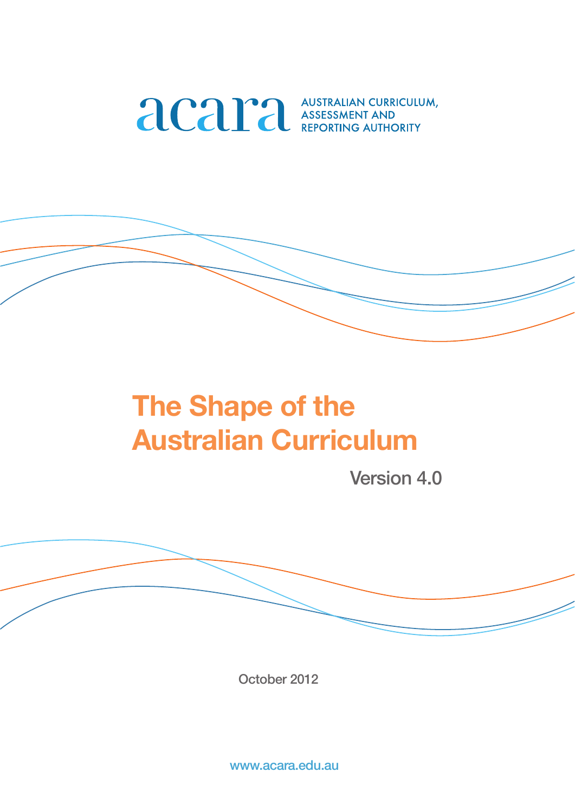

# **The Shape of the Australian Curriculum**

Version 4.0

October 2012

www.acara.edu.au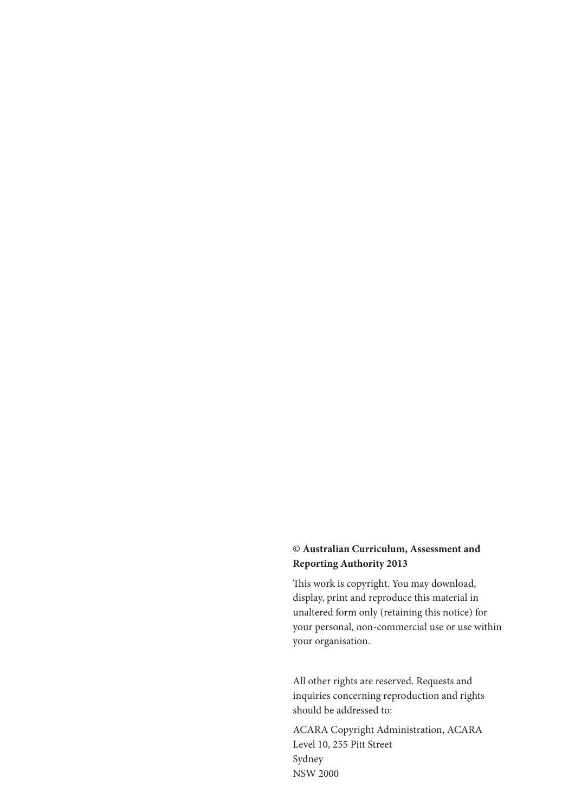#### **© Australian Curriculum, Assessment and Reporting Authority 2013**

This work is copyright. You may download, display, print and reproduce this material in unaltered form only (retaining this notice) for your personal, non-commercial use or use within your organisation.

All other rights are reserved. Requests and inquiries concerning reproduction and rights should be addressed to:

ACARA Copyright Administration, ACARA Level 10, 255 Pitt Street Sydney NSW 2000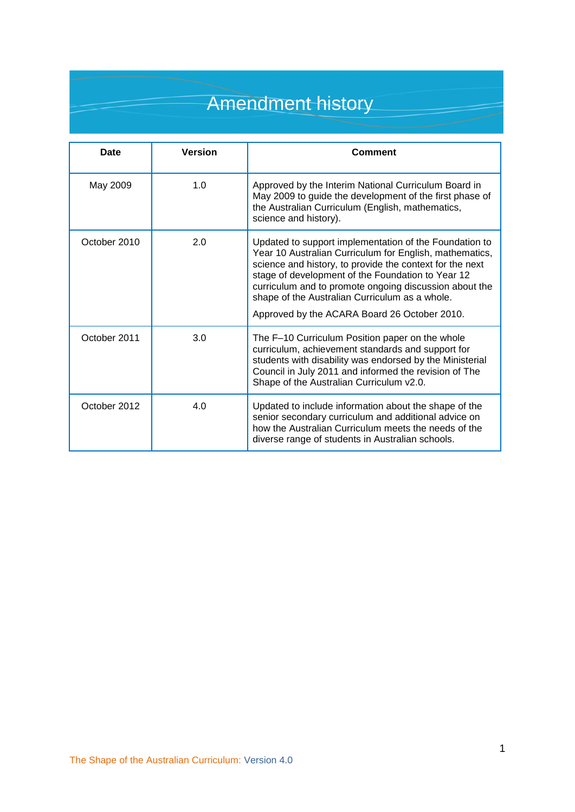## Amendment history

| Date         | <b>Version</b> | <b>Comment</b>                                                                                                                                                                                                                                                                                                                                                                                 |
|--------------|----------------|------------------------------------------------------------------------------------------------------------------------------------------------------------------------------------------------------------------------------------------------------------------------------------------------------------------------------------------------------------------------------------------------|
| May 2009     | 1.0            | Approved by the Interim National Curriculum Board in<br>May 2009 to guide the development of the first phase of<br>the Australian Curriculum (English, mathematics,<br>science and history).                                                                                                                                                                                                   |
| October 2010 | 2.0            | Updated to support implementation of the Foundation to<br>Year 10 Australian Curriculum for English, mathematics,<br>science and history, to provide the context for the next<br>stage of development of the Foundation to Year 12<br>curriculum and to promote ongoing discussion about the<br>shape of the Australian Curriculum as a whole.<br>Approved by the ACARA Board 26 October 2010. |
| October 2011 | 3.0            | The F-10 Curriculum Position paper on the whole<br>curriculum, achievement standards and support for<br>students with disability was endorsed by the Ministerial<br>Council in July 2011 and informed the revision of The<br>Shape of the Australian Curriculum v2.0.                                                                                                                          |
| October 2012 | 4.0            | Updated to include information about the shape of the<br>senior secondary curriculum and additional advice on<br>how the Australian Curriculum meets the needs of the<br>diverse range of students in Australian schools.                                                                                                                                                                      |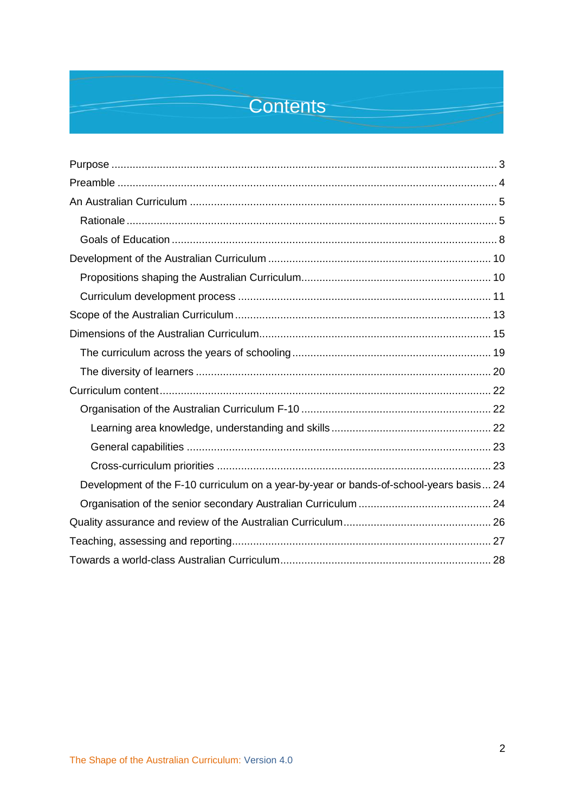### **Contents**

| Development of the F-10 curriculum on a year-by-year or bands-of-school-years basis 24 |  |  |
|----------------------------------------------------------------------------------------|--|--|
|                                                                                        |  |  |
|                                                                                        |  |  |
|                                                                                        |  |  |
|                                                                                        |  |  |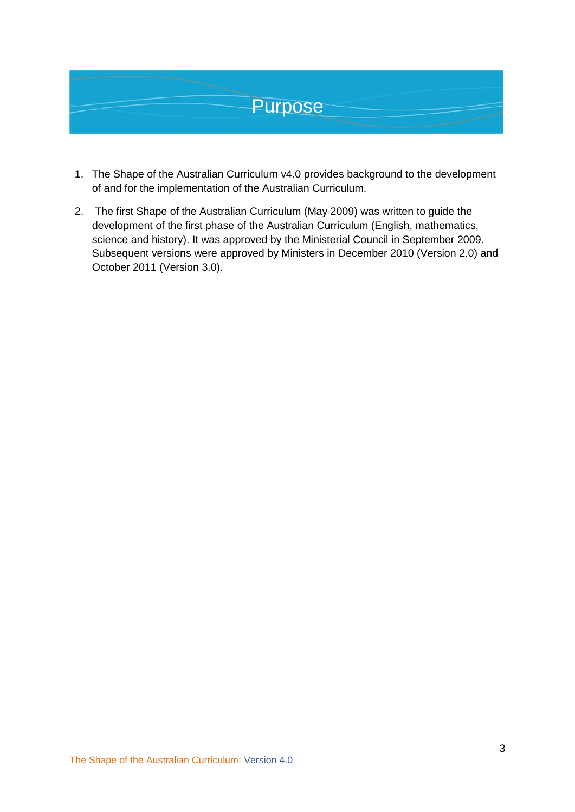<span id="page-4-0"></span>

- 1. The Shape of the Australian Curriculum v4.0 provides background to the development of and for the implementation of the Australian Curriculum.
- 2. The first Shape of the Australian Curriculum (May 2009) was written to guide the development of the first phase of the Australian Curriculum (English, mathematics, science and history). It was approved by the Ministerial Council in September 2009. Subsequent versions were approved by Ministers in December 2010 (Version 2.0) and October 2011 (Version 3.0).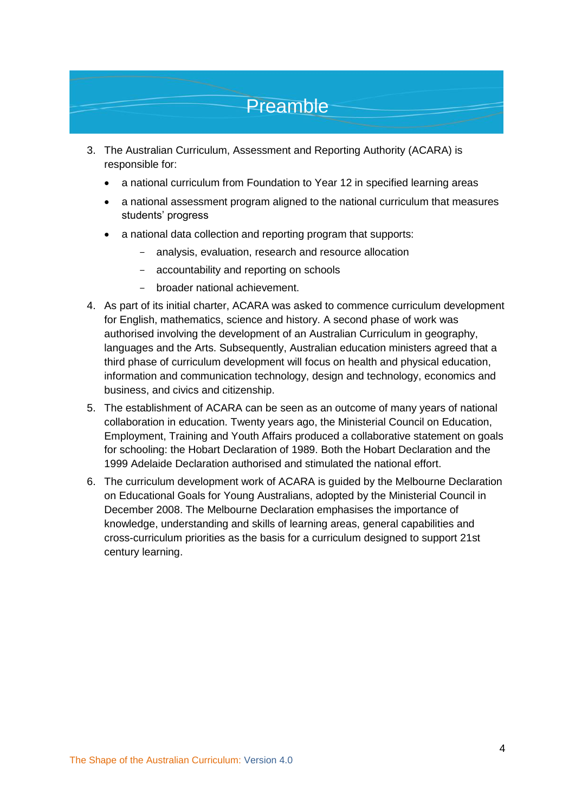### Preamble

- <span id="page-5-0"></span>3. The Australian Curriculum, Assessment and Reporting Authority (ACARA) is responsible for:
	- a national curriculum from Foundation to Year 12 in specified learning areas
	- a national assessment program aligned to the national curriculum that measures students' progress
	- a national data collection and reporting program that supports:
		- analysis, evaluation, research and resource allocation
		- accountability and reporting on schools
		- broader national achievement.
- 4. As part of its initial charter, ACARA was asked to commence curriculum development for English, mathematics, science and history. A second phase of work was authorised involving the development of an Australian Curriculum in geography, languages and the Arts. Subsequently, Australian education ministers agreed that a third phase of curriculum development will focus on health and physical education, information and communication technology, design and technology, economics and business, and civics and citizenship.
- 5. The establishment of ACARA can be seen as an outcome of many years of national collaboration in education. Twenty years ago, the Ministerial Council on Education, Employment, Training and Youth Affairs produced a collaborative statement on goals for schooling: the Hobart Declaration of 1989. Both the Hobart Declaration and the 1999 Adelaide Declaration authorised and stimulated the national effort.
- 6. The curriculum development work of ACARA is guided by the Melbourne Declaration on Educational Goals for Young Australians, adopted by the Ministerial Council in December 2008. The Melbourne Declaration emphasises the importance of knowledge, understanding and skills of learning areas, general capabilities and cross-curriculum priorities as the basis for a curriculum designed to support 21st century learning.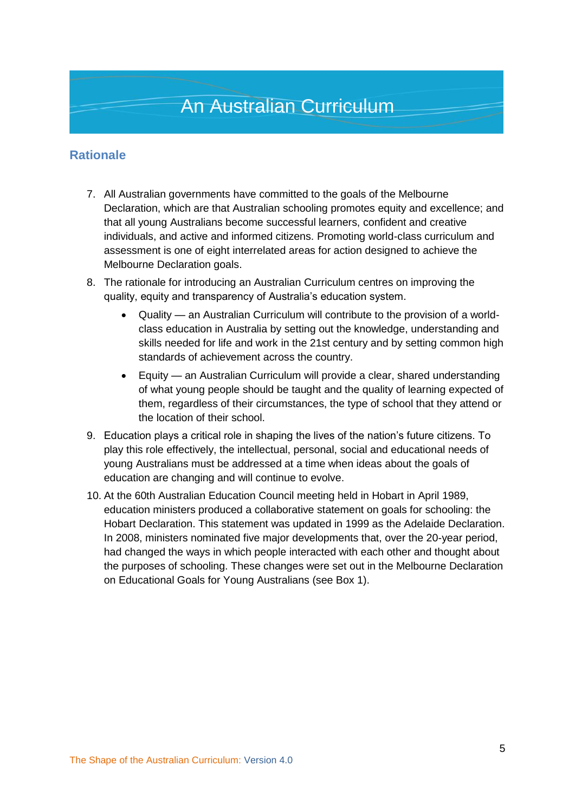#### <span id="page-6-1"></span><span id="page-6-0"></span>**Rationale**

- 7. All Australian governments have committed to the goals of the Melbourne Declaration, which are that Australian schooling promotes equity and excellence; and that all young Australians become successful learners, confident and creative individuals, and active and informed citizens. Promoting world-class curriculum and assessment is one of eight interrelated areas for action designed to achieve the Melbourne Declaration goals.
- 8. The rationale for introducing an Australian Curriculum centres on improving the quality, equity and transparency of Australia's education system.
	- Quality an Australian Curriculum will contribute to the provision of a worldclass education in Australia by setting out the knowledge, understanding and skills needed for life and work in the 21st century and by setting common high standards of achievement across the country.
	- Equity an Australian Curriculum will provide a clear, shared understanding of what young people should be taught and the quality of learning expected of them, regardless of their circumstances, the type of school that they attend or the location of their school.
- 9. Education plays a critical role in shaping the lives of the nation's future citizens. To play this role effectively, the intellectual, personal, social and educational needs of young Australians must be addressed at a time when ideas about the goals of education are changing and will continue to evolve.
- 10. At the 60th Australian Education Council meeting held in Hobart in April 1989, education ministers produced a collaborative statement on goals for schooling: the Hobart Declaration. This statement was updated in 1999 as the Adelaide Declaration. In 2008, ministers nominated five major developments that, over the 20-year period, had changed the ways in which people interacted with each other and thought about the purposes of schooling. These changes were set out in the Melbourne Declaration on Educational Goals for Young Australians (see Box 1).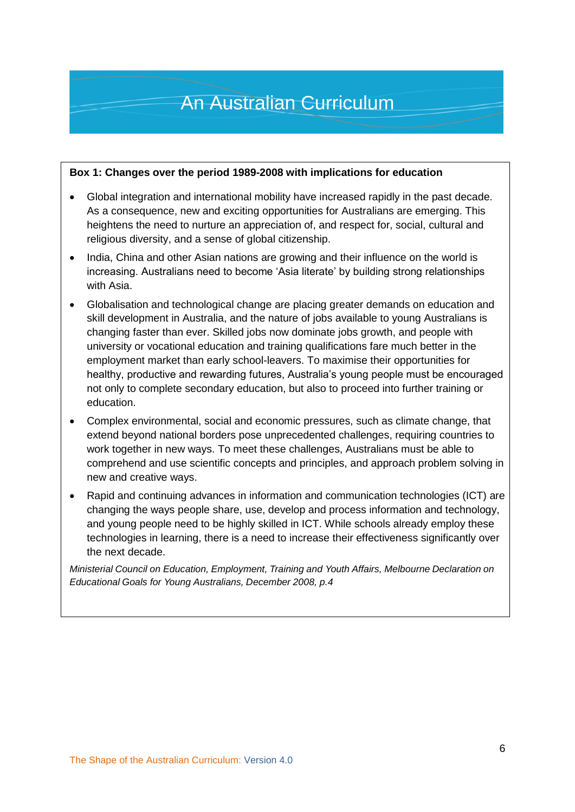#### **Box 1: Changes over the period 1989-2008 with implications for education**

- Global integration and international mobility have increased rapidly in the past decade. As a consequence, new and exciting opportunities for Australians are emerging. This heightens the need to nurture an appreciation of, and respect for, social, cultural and religious diversity, and a sense of global citizenship.
- India, China and other Asian nations are growing and their influence on the world is increasing. Australians need to become 'Asia literate' by building strong relationships with Asia.
- Globalisation and technological change are placing greater demands on education and skill development in Australia, and the nature of jobs available to young Australians is changing faster than ever. Skilled jobs now dominate jobs growth, and people with university or vocational education and training qualifications fare much better in the employment market than early school-leavers. To maximise their opportunities for healthy, productive and rewarding futures, Australia's young people must be encouraged not only to complete secondary education, but also to proceed into further training or education.
- Complex environmental, social and economic pressures, such as climate change, that extend beyond national borders pose unprecedented challenges, requiring countries to work together in new ways. To meet these challenges, Australians must be able to comprehend and use scientific concepts and principles, and approach problem solving in new and creative ways.
- Rapid and continuing advances in information and communication technologies (ICT) are changing the ways people share, use, develop and process information and technology, and young people need to be highly skilled in ICT. While schools already employ these technologies in learning, there is a need to increase their effectiveness significantly over the next decade.

*Ministerial Council on Education, Employment, Training and Youth Affairs, Melbourne Declaration on Educational Goals for Young Australians, December 2008, p.4*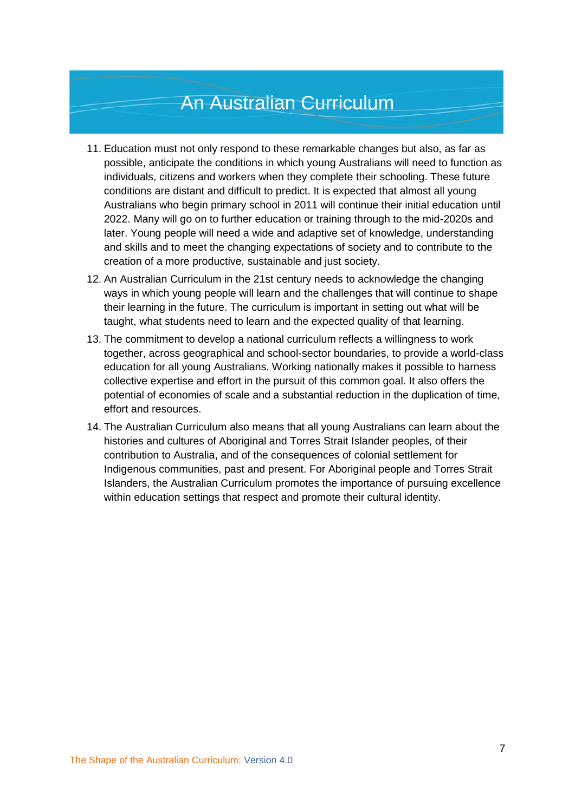- 11. Education must not only respond to these remarkable changes but also, as far as possible, anticipate the conditions in which young Australians will need to function as individuals, citizens and workers when they complete their schooling. These future conditions are distant and difficult to predict. It is expected that almost all young Australians who begin primary school in 2011 will continue their initial education until 2022. Many will go on to further education or training through to the mid-2020s and later. Young people will need a wide and adaptive set of knowledge, understanding and skills and to meet the changing expectations of society and to contribute to the creation of a more productive, sustainable and just society.
- 12. An Australian Curriculum in the 21st century needs to acknowledge the changing ways in which young people will learn and the challenges that will continue to shape their learning in the future. The curriculum is important in setting out what will be taught, what students need to learn and the expected quality of that learning.
- 13. The commitment to develop a national curriculum reflects a willingness to work together, across geographical and school-sector boundaries, to provide a world-class education for all young Australians. Working nationally makes it possible to harness collective expertise and effort in the pursuit of this common goal. It also offers the potential of economies of scale and a substantial reduction in the duplication of time, effort and resources.
- 14. The Australian Curriculum also means that all young Australians can learn about the histories and cultures of Aboriginal and Torres Strait Islander peoples, of their contribution to Australia, and of the consequences of colonial settlement for Indigenous communities, past and present. For Aboriginal people and Torres Strait Islanders, the Australian Curriculum promotes the importance of pursuing excellence within education settings that respect and promote their cultural identity.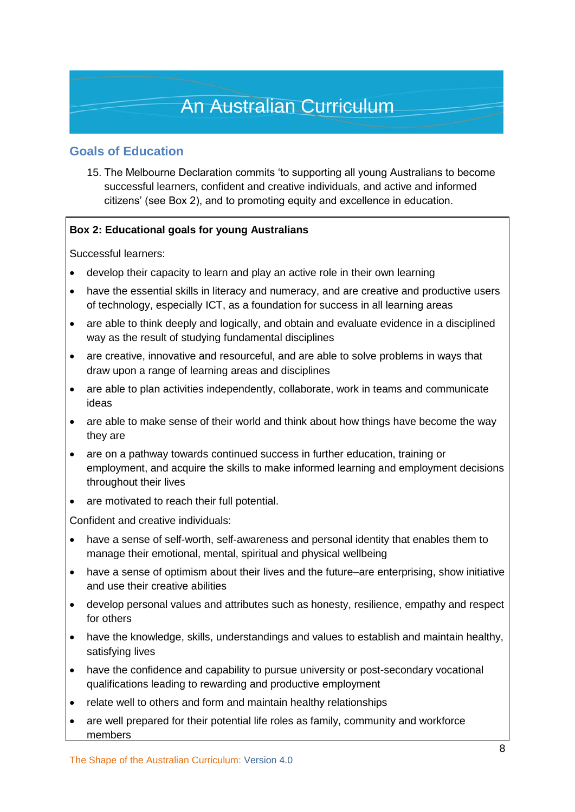#### <span id="page-9-0"></span>**Goals of Education**

15. The Melbourne Declaration commits 'to supporting all young Australians to become successful learners, confident and creative individuals, and active and informed citizens' (see Box 2), and to promoting equity and excellence in education.

#### **Box 2: Educational goals for young Australians**

Successful learners:

- develop their capacity to learn and play an active role in their own learning
- have the essential skills in literacy and numeracy, and are creative and productive users of technology, especially ICT, as a foundation for success in all learning areas
- are able to think deeply and logically, and obtain and evaluate evidence in a disciplined way as the result of studying fundamental disciplines
- are creative, innovative and resourceful, and are able to solve problems in ways that draw upon a range of learning areas and disciplines
- are able to plan activities independently, collaborate, work in teams and communicate ideas
- are able to make sense of their world and think about how things have become the way they are
- are on a pathway towards continued success in further education, training or employment, and acquire the skills to make informed learning and employment decisions throughout their lives
- are motivated to reach their full potential.

Confident and creative individuals:

- have a sense of self-worth, self-awareness and personal identity that enables them to manage their emotional, mental, spiritual and physical wellbeing
- have a sense of optimism about their lives and the future–are enterprising, show initiative and use their creative abilities
- develop personal values and attributes such as honesty, resilience, empathy and respect for others
- have the knowledge, skills, understandings and values to establish and maintain healthy, satisfying lives
- have the confidence and capability to pursue university or post-secondary vocational qualifications leading to rewarding and productive employment
- relate well to others and form and maintain healthy relationships
- are well prepared for their potential life roles as family, community and workforce members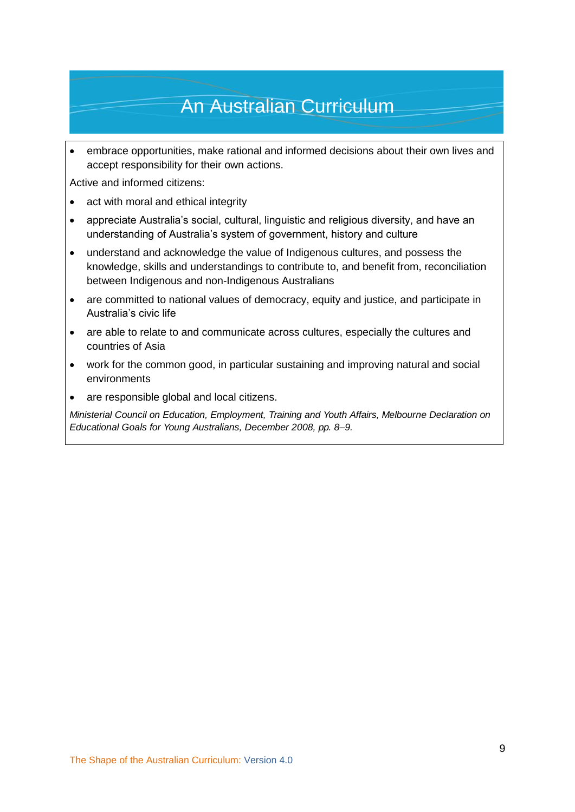embrace opportunities, make rational and informed decisions about their own lives and accept responsibility for their own actions.

Active and informed citizens:

- act with moral and ethical integrity
- appreciate Australia's social, cultural, linguistic and religious diversity, and have an understanding of Australia's system of government, history and culture
- understand and acknowledge the value of Indigenous cultures, and possess the knowledge, skills and understandings to contribute to, and benefit from, reconciliation between Indigenous and non-Indigenous Australians
- are committed to national values of democracy, equity and justice, and participate in Australia's civic life
- are able to relate to and communicate across cultures, especially the cultures and countries of Asia
- work for the common good, in particular sustaining and improving natural and social environments
- are responsible global and local citizens.

*Ministerial Council on Education, Employment, Training and Youth Affairs, Melbourne Declaration on Educational Goals for Young Australians, December 2008, pp. 8–9.*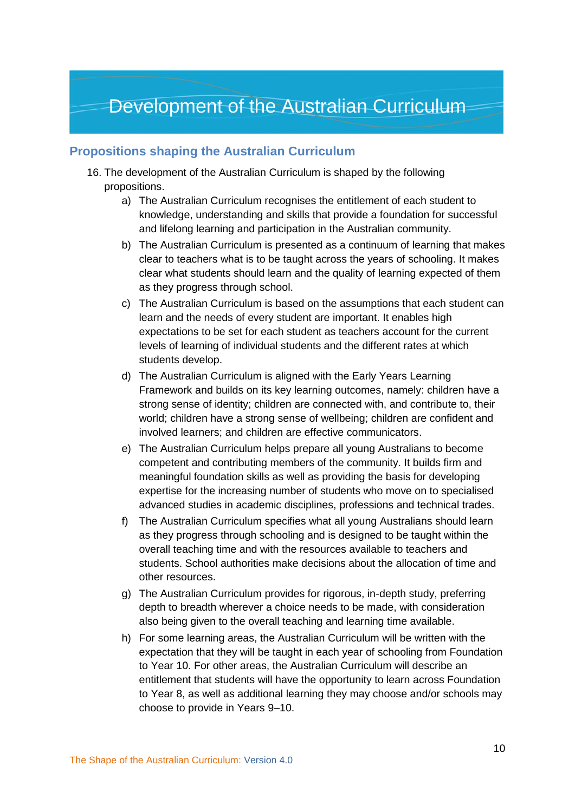### <span id="page-11-0"></span>Development of the Australian Curriculum

#### <span id="page-11-1"></span>**Propositions shaping the Australian Curriculum**

- 16. The development of the Australian Curriculum is shaped by the following propositions.
	- a) The Australian Curriculum recognises the entitlement of each student to knowledge, understanding and skills that provide a foundation for successful and lifelong learning and participation in the Australian community.
	- b) The Australian Curriculum is presented as a continuum of learning that makes clear to teachers what is to be taught across the years of schooling. It makes clear what students should learn and the quality of learning expected of them as they progress through school.
	- c) The Australian Curriculum is based on the assumptions that each student can learn and the needs of every student are important. It enables high expectations to be set for each student as teachers account for the current levels of learning of individual students and the different rates at which students develop.
	- d) The Australian Curriculum is aligned with the Early Years Learning Framework and builds on its key learning outcomes, namely: children have a strong sense of identity; children are connected with, and contribute to, their world; children have a strong sense of wellbeing; children are confident and involved learners; and children are effective communicators.
	- e) The Australian Curriculum helps prepare all young Australians to become competent and contributing members of the community. It builds firm and meaningful foundation skills as well as providing the basis for developing expertise for the increasing number of students who move on to specialised advanced studies in academic disciplines, professions and technical trades.
	- f) The Australian Curriculum specifies what all young Australians should learn as they progress through schooling and is designed to be taught within the overall teaching time and with the resources available to teachers and students. School authorities make decisions about the allocation of time and other resources.
	- g) The Australian Curriculum provides for rigorous, in-depth study, preferring depth to breadth wherever a choice needs to be made, with consideration also being given to the overall teaching and learning time available.
	- h) For some learning areas, the Australian Curriculum will be written with the expectation that they will be taught in each year of schooling from Foundation to Year 10. For other areas, the Australian Curriculum will describe an entitlement that students will have the opportunity to learn across Foundation to Year 8, as well as additional learning they may choose and/or schools may choose to provide in Years 9–10.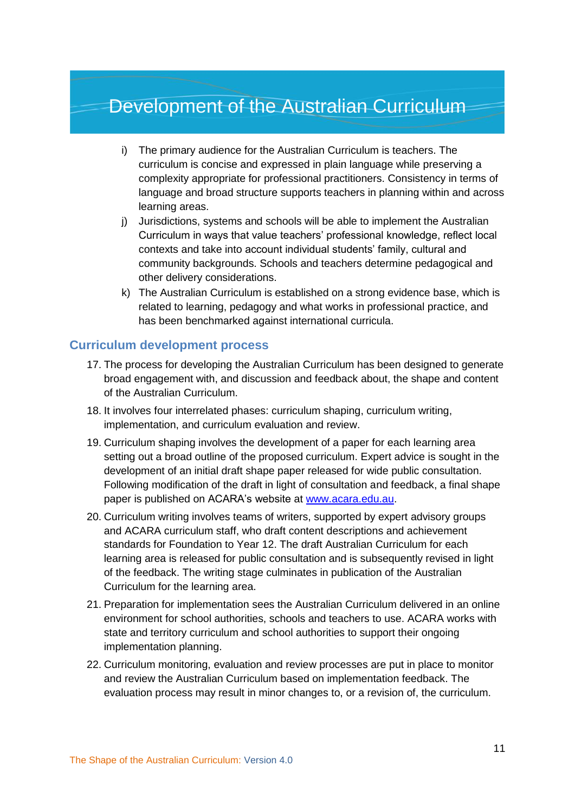### Development of the Australian Curriculum

- i) The primary audience for the Australian Curriculum is teachers. The curriculum is concise and expressed in plain language while preserving a complexity appropriate for professional practitioners. Consistency in terms of language and broad structure supports teachers in planning within and across learning areas.
- j) Jurisdictions, systems and schools will be able to implement the Australian Curriculum in ways that value teachers' professional knowledge, reflect local contexts and take into account individual students' family, cultural and community backgrounds. Schools and teachers determine pedagogical and other delivery considerations.
- k) The Australian Curriculum is established on a strong evidence base, which is related to learning, pedagogy and what works in professional practice, and has been benchmarked against international curricula.

#### <span id="page-12-0"></span>**Curriculum development process**

- 17. The process for developing the Australian Curriculum has been designed to generate broad engagement with, and discussion and feedback about, the shape and content of the Australian Curriculum.
- 18. It involves four interrelated phases: curriculum shaping, curriculum writing, implementation, and curriculum evaluation and review.
- 19. Curriculum shaping involves the development of a paper for each learning area setting out a broad outline of the proposed curriculum. Expert advice is sought in the development of an initial draft shape paper released for wide public consultation. Following modification of the draft in light of consultation and feedback, a final shape paper is published on ACARA's website at [www.acara.edu.au.](http://www.acara.edu.au/)
- 20. Curriculum writing involves teams of writers, supported by expert advisory groups and ACARA curriculum staff, who draft content descriptions and achievement standards for Foundation to Year 12. The draft Australian Curriculum for each learning area is released for public consultation and is subsequently revised in light of the feedback. The writing stage culminates in publication of the Australian Curriculum for the learning area.
- 21. Preparation for implementation sees the Australian Curriculum delivered in an online environment for school authorities, schools and teachers to use. ACARA works with state and territory curriculum and school authorities to support their ongoing implementation planning.
- 22. Curriculum monitoring, evaluation and review processes are put in place to monitor and review the Australian Curriculum based on implementation feedback. The evaluation process may result in minor changes to, or a revision of, the curriculum.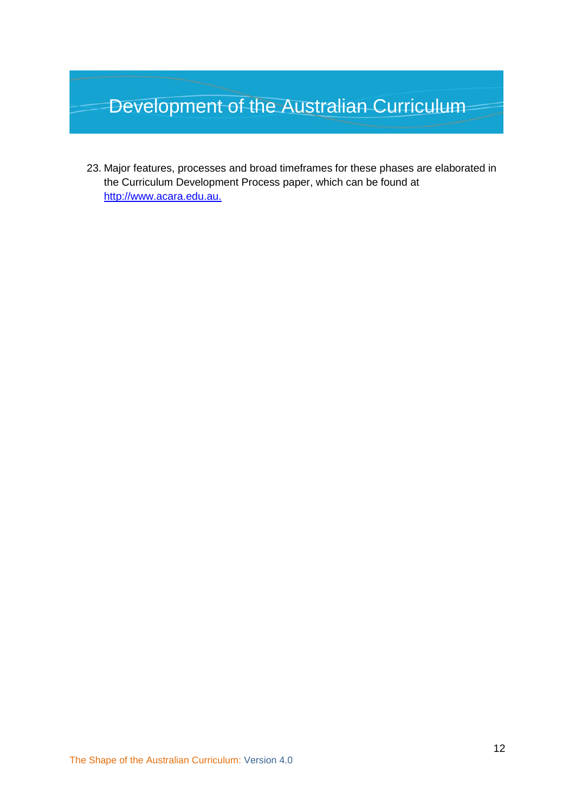## Development of the Australian Curriculum

23. Major features, processes and broad timeframes for these phases are elaborated in the Curriculum Development Process paper, which can be found at [http://www.acara.edu.au.](http://www.acara.edu.au/)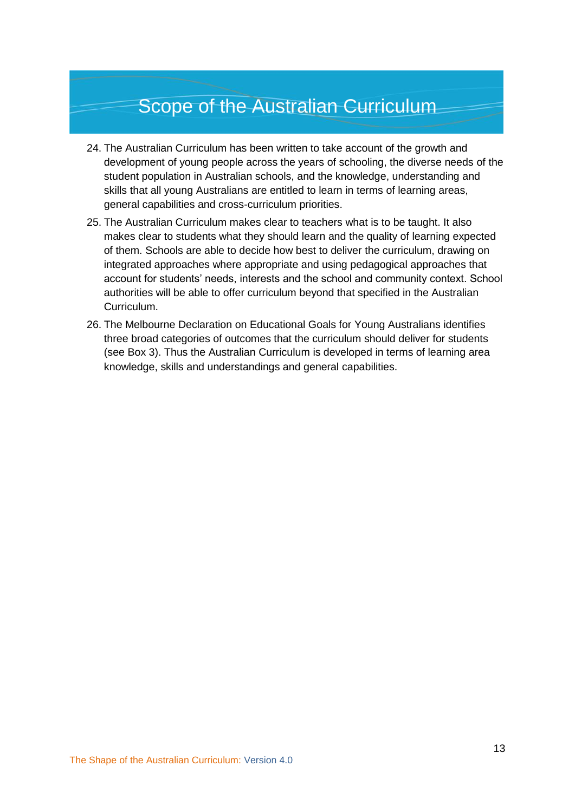### Scope of the Australian Curriculum

- <span id="page-14-0"></span>24. The Australian Curriculum has been written to take account of the growth and development of young people across the years of schooling, the diverse needs of the student population in Australian schools, and the knowledge, understanding and skills that all young Australians are entitled to learn in terms of learning areas, general capabilities and cross-curriculum priorities.
- 25. The Australian Curriculum makes clear to teachers what is to be taught. It also makes clear to students what they should learn and the quality of learning expected of them. Schools are able to decide how best to deliver the curriculum, drawing on integrated approaches where appropriate and using pedagogical approaches that account for students' needs, interests and the school and community context. School authorities will be able to offer curriculum beyond that specified in the Australian Curriculum.
- 26. The Melbourne Declaration on Educational Goals for Young Australians identifies three broad categories of outcomes that the curriculum should deliver for students (see Box 3). Thus the Australian Curriculum is developed in terms of learning area knowledge, skills and understandings and general capabilities.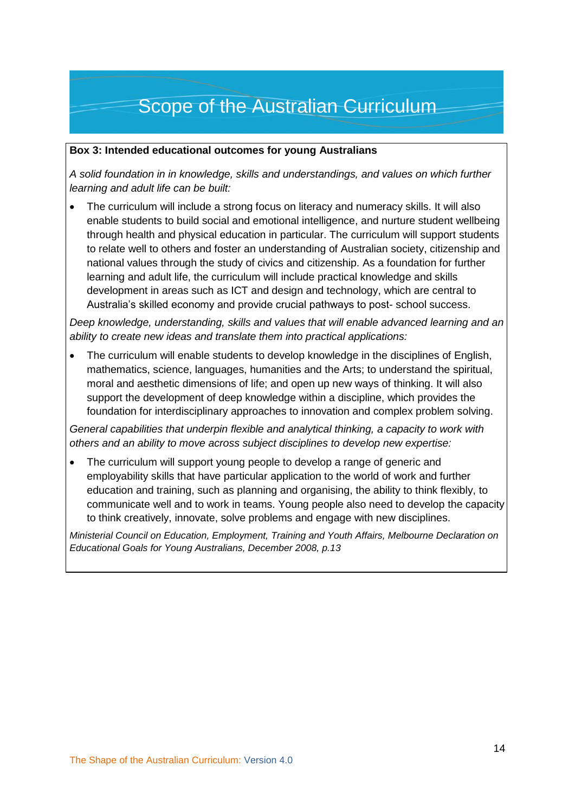### Scope of the Australian Curriculum

#### **Box 3: Intended educational outcomes for young Australians**

*A solid foundation in in knowledge, skills and understandings, and values on which further learning and adult life can be built:*

 The curriculum will include a strong focus on literacy and numeracy skills. It will also enable students to build social and emotional intelligence, and nurture student wellbeing through health and physical education in particular. The curriculum will support students to relate well to others and foster an understanding of Australian society, citizenship and national values through the study of civics and citizenship. As a foundation for further learning and adult life, the curriculum will include practical knowledge and skills development in areas such as ICT and design and technology, which are central to Australia's skilled economy and provide crucial pathways to post- school success.

*Deep knowledge, understanding, skills and values that will enable advanced learning and an ability to create new ideas and translate them into practical applications:*

 The curriculum will enable students to develop knowledge in the disciplines of English, mathematics, science, languages, humanities and the Arts; to understand the spiritual, moral and aesthetic dimensions of life; and open up new ways of thinking. It will also support the development of deep knowledge within a discipline, which provides the foundation for interdisciplinary approaches to innovation and complex problem solving.

*General capabilities that underpin flexible and analytical thinking, a capacity to work with others and an ability to move across subject disciplines to develop new expertise:*

 The curriculum will support young people to develop a range of generic and employability skills that have particular application to the world of work and further education and training, such as planning and organising, the ability to think flexibly, to communicate well and to work in teams. Young people also need to develop the capacity to think creatively, innovate, solve problems and engage with new disciplines.

*Ministerial Council on Education, Employment, Training and Youth Affairs, Melbourne Declaration on Educational Goals for Young Australians, December 2008, p.13*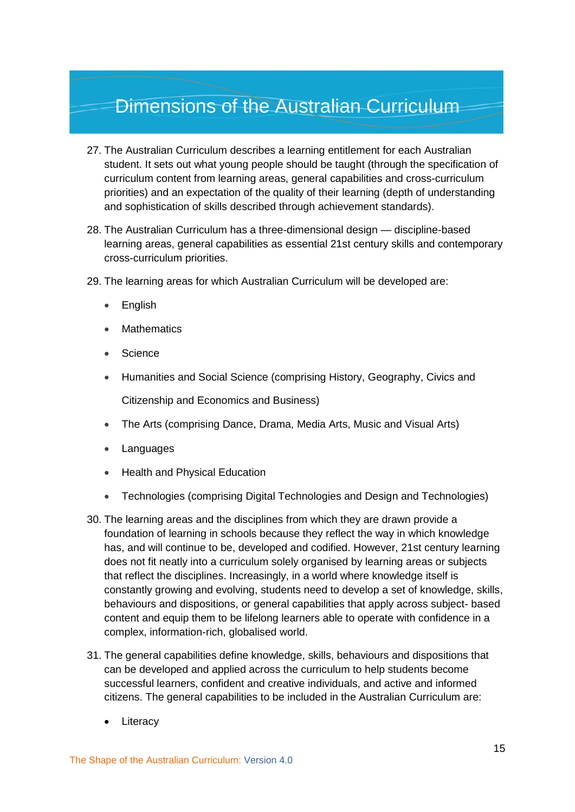- <span id="page-16-0"></span>27. The Australian Curriculum describes a learning entitlement for each Australian student. It sets out what young people should be taught (through the specification of curriculum content from learning areas, general capabilities and cross-curriculum priorities) and an expectation of the quality of their learning (depth of understanding and sophistication of skills described through achievement standards).
- 28. The Australian Curriculum has a three-dimensional design discipline-based learning areas, general capabilities as essential 21st century skills and contemporary cross-curriculum priorities.
- 29. The learning areas for which Australian Curriculum will be developed are:
	- English
	- **Mathematics**
	- **Science**
	- Humanities and Social Science (comprising History, Geography, Civics and

Citizenship and Economics and Business)

- The Arts (comprising Dance, Drama, Media Arts, Music and Visual Arts)
- Languages
- Health and Physical Education
- Technologies (comprising Digital Technologies and Design and Technologies)
- 30. The learning areas and the disciplines from which they are drawn provide a foundation of learning in schools because they reflect the way in which knowledge has, and will continue to be, developed and codified. However, 21st century learning does not fit neatly into a curriculum solely organised by learning areas or subjects that reflect the disciplines. Increasingly, in a world where knowledge itself is constantly growing and evolving, students need to develop a set of knowledge, skills, behaviours and dispositions, or general capabilities that apply across subject- based content and equip them to be lifelong learners able to operate with confidence in a complex, information-rich, globalised world.
- 31. The general capabilities define knowledge, skills, behaviours and dispositions that can be developed and applied across the curriculum to help students become successful learners, confident and creative individuals, and active and informed citizens. The general capabilities to be included in the Australian Curriculum are:
	- **Literacy**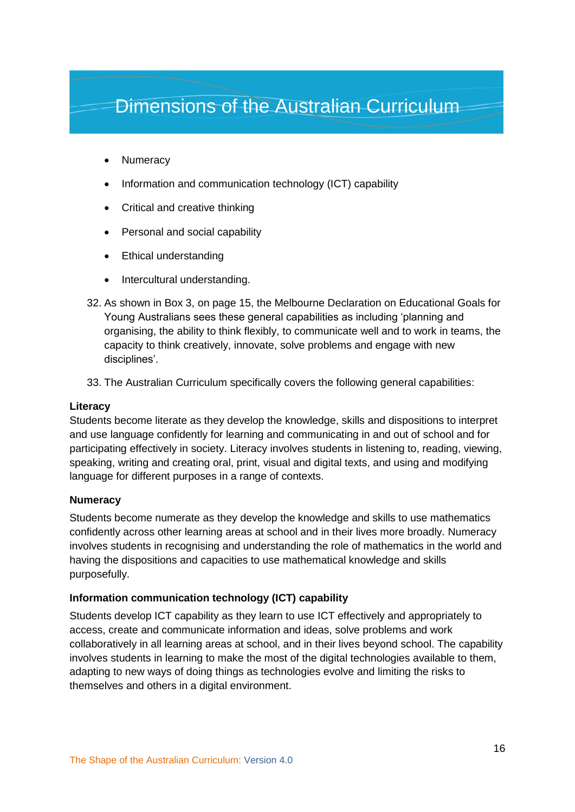- **Numeracy**
- Information and communication technology (ICT) capability
- Critical and creative thinking
- Personal and social capability
- Ethical understanding
- Intercultural understanding.
- 32. As shown in Box 3, on page 15, the Melbourne Declaration on Educational Goals for Young Australians sees these general capabilities as including 'planning and organising, the ability to think flexibly, to communicate well and to work in teams, the capacity to think creatively, innovate, solve problems and engage with new disciplines'.
- 33. The Australian Curriculum specifically covers the following general capabilities:

#### **Literacy**

Students become literate as they develop the knowledge, skills and dispositions to interpret and use language confidently for learning and communicating in and out of school and for participating effectively in society. Literacy involves students in listening to, reading, viewing, speaking, writing and creating oral, print, visual and digital texts, and using and modifying language for different purposes in a range of contexts.

#### **Numeracy**

Students become numerate as they develop the knowledge and skills to use mathematics confidently across other learning areas at school and in their lives more broadly. Numeracy involves students in recognising and understanding the role of mathematics in the world and having the dispositions and capacities to use mathematical knowledge and skills purposefully.

#### **Information communication technology (ICT) capability**

Students develop ICT capability as they learn to use ICT effectively and appropriately to access, create and communicate information and ideas, solve problems and work collaboratively in all learning areas at school, and in their lives beyond school. The capability involves students in learning to make the most of the digital technologies available to them, adapting to new ways of doing things as technologies evolve and limiting the risks to themselves and others in a digital environment.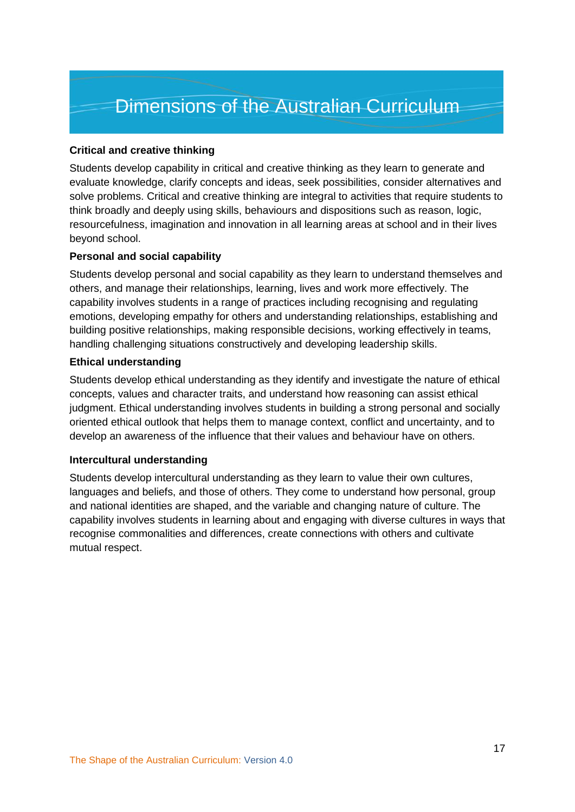#### **Critical and creative thinking**

Students develop capability in critical and creative thinking as they learn to generate and evaluate knowledge, clarify concepts and ideas, seek possibilities, consider alternatives and solve problems. Critical and creative thinking are integral to activities that require students to think broadly and deeply using skills, behaviours and dispositions such as reason, logic, resourcefulness, imagination and innovation in all learning areas at school and in their lives beyond school.

#### **Personal and social capability**

Students develop personal and social capability as they learn to understand themselves and others, and manage their relationships, learning, lives and work more effectively. The capability involves students in a range of practices including recognising and regulating emotions, developing empathy for others and understanding relationships, establishing and building positive relationships, making responsible decisions, working effectively in teams, handling challenging situations constructively and developing leadership skills.

#### **Ethical understanding**

Students develop ethical understanding as they identify and investigate the nature of ethical concepts, values and character traits, and understand how reasoning can assist ethical judgment. Ethical understanding involves students in building a strong personal and socially oriented ethical outlook that helps them to manage context, conflict and uncertainty, and to develop an awareness of the influence that their values and behaviour have on others.

#### **Intercultural understanding**

Students develop intercultural understanding as they learn to value their own cultures, languages and beliefs, and those of others. They come to understand how personal, group and national identities are shaped, and the variable and changing nature of culture. The capability involves students in learning about and engaging with diverse cultures in ways that recognise commonalities and differences, create connections with others and cultivate mutual respect.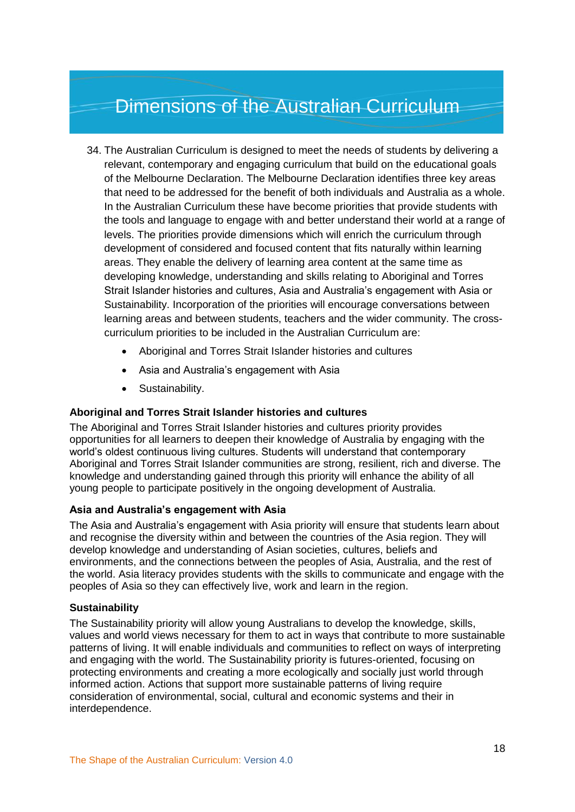- 34. The Australian Curriculum is designed to meet the needs of students by delivering a relevant, contemporary and engaging curriculum that build on the educational goals of the Melbourne Declaration. The Melbourne Declaration identifies three key areas that need to be addressed for the benefit of both individuals and Australia as a whole. In the Australian Curriculum these have become priorities that provide students with the tools and language to engage with and better understand their world at a range of levels. The priorities provide dimensions which will enrich the curriculum through development of considered and focused content that fits naturally within learning areas. They enable the delivery of learning area content at the same time as developing knowledge, understanding and skills relating to Aboriginal and Torres Strait Islander histories and cultures, Asia and Australia's engagement with Asia or Sustainability. Incorporation of the priorities will encourage conversations between learning areas and between students, teachers and the wider community. The crosscurriculum priorities to be included in the Australian Curriculum are:
	- Aboriginal and Torres Strait Islander histories and cultures
	- Asia and Australia's engagement with Asia
	- Sustainability.

#### **Aboriginal and Torres Strait Islander histories and cultures**

The Aboriginal and Torres Strait Islander histories and cultures priority provides opportunities for all learners to deepen their knowledge of Australia by engaging with the world's oldest continuous living cultures. Students will understand that contemporary Aboriginal and Torres Strait Islander communities are strong, resilient, rich and diverse. The knowledge and understanding gained through this priority will enhance the ability of all young people to participate positively in the ongoing development of Australia.

#### **Asia and Australia's engagement with Asia**

The Asia and Australia's engagement with Asia priority will ensure that students learn about and recognise the diversity within and between the countries of the Asia region. They will develop knowledge and understanding of Asian societies, cultures, beliefs and environments, and the connections between the peoples of Asia, Australia, and the rest of the world. Asia literacy provides students with the skills to communicate and engage with the peoples of Asia so they can effectively live, work and learn in the region.

#### **Sustainability**

The Sustainability priority will allow young Australians to develop the knowledge, skills, values and world views necessary for them to act in ways that contribute to more sustainable patterns of living. It will enable individuals and communities to reflect on ways of interpreting and engaging with the world. The Sustainability priority is futures-oriented, focusing on protecting environments and creating a more ecologically and socially just world through informed action. Actions that support more sustainable patterns of living require consideration of environmental, social, cultural and economic systems and their in interdependence.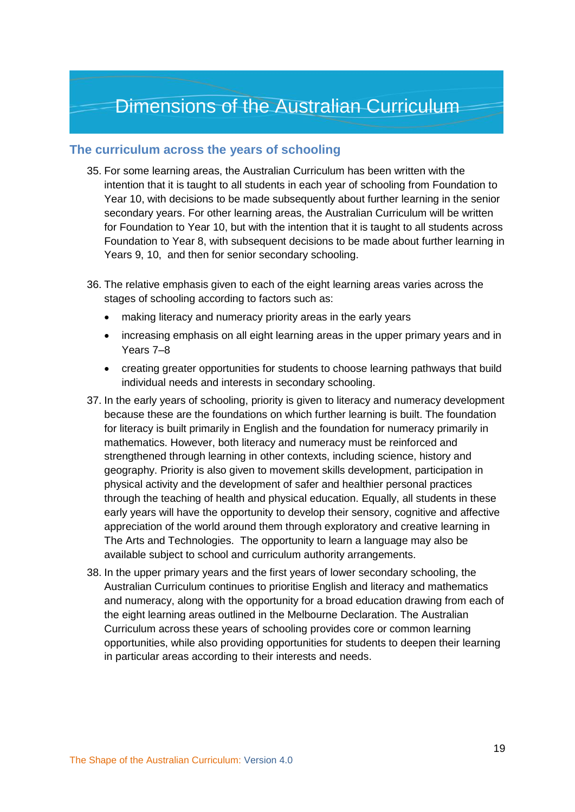#### <span id="page-20-0"></span>**The curriculum across the years of schooling**

- 35. For some learning areas, the Australian Curriculum has been written with the intention that it is taught to all students in each year of schooling from Foundation to Year 10, with decisions to be made subsequently about further learning in the senior secondary years. For other learning areas, the Australian Curriculum will be written for Foundation to Year 10, but with the intention that it is taught to all students across Foundation to Year 8, with subsequent decisions to be made about further learning in Years 9, 10, and then for senior secondary schooling.
- 36. The relative emphasis given to each of the eight learning areas varies across the stages of schooling according to factors such as:
	- making literacy and numeracy priority areas in the early years
	- increasing emphasis on all eight learning areas in the upper primary years and in Years 7–8
	- creating greater opportunities for students to choose learning pathways that build individual needs and interests in secondary schooling.
- 37. In the early years of schooling, priority is given to literacy and numeracy development because these are the foundations on which further learning is built. The foundation for literacy is built primarily in English and the foundation for numeracy primarily in mathematics. However, both literacy and numeracy must be reinforced and strengthened through learning in other contexts, including science, history and geography. Priority is also given to movement skills development, participation in physical activity and the development of safer and healthier personal practices through the teaching of health and physical education. Equally, all students in these early years will have the opportunity to develop their sensory, cognitive and affective appreciation of the world around them through exploratory and creative learning in The Arts and Technologies. The opportunity to learn a language may also be available subject to school and curriculum authority arrangements.
- 38. In the upper primary years and the first years of lower secondary schooling, the Australian Curriculum continues to prioritise English and literacy and mathematics and numeracy, along with the opportunity for a broad education drawing from each of the eight learning areas outlined in the Melbourne Declaration. The Australian Curriculum across these years of schooling provides core or common learning opportunities, while also providing opportunities for students to deepen their learning in particular areas according to their interests and needs.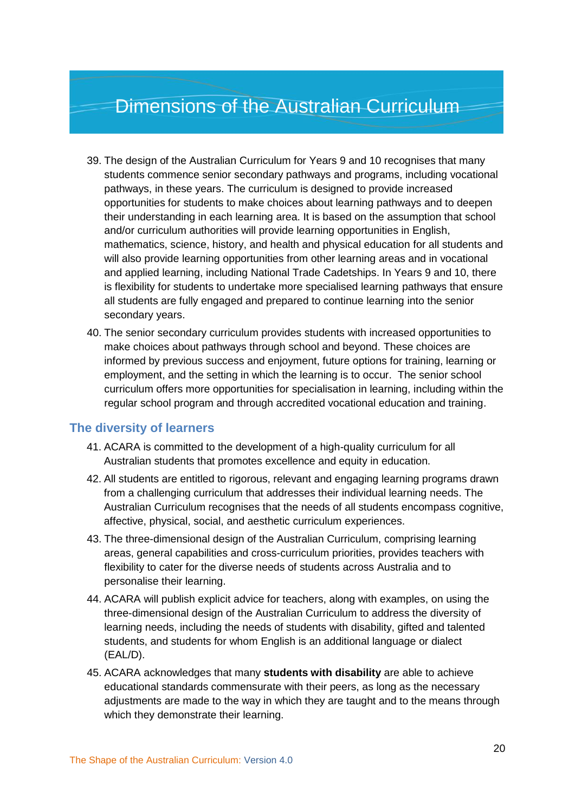- 39. The design of the Australian Curriculum for Years 9 and 10 recognises that many students commence senior secondary pathways and programs, including vocational pathways, in these years. The curriculum is designed to provide increased opportunities for students to make choices about learning pathways and to deepen their understanding in each learning area. It is based on the assumption that school and/or curriculum authorities will provide learning opportunities in English, mathematics, science, history, and health and physical education for all students and will also provide learning opportunities from other learning areas and in vocational and applied learning, including National Trade Cadetships. In Years 9 and 10, there is flexibility for students to undertake more specialised learning pathways that ensure all students are fully engaged and prepared to continue learning into the senior secondary years.
- 40. The senior secondary curriculum provides students with increased opportunities to make choices about pathways through school and beyond. These choices are informed by previous success and enjoyment, future options for training, learning or employment, and the setting in which the learning is to occur. The senior school curriculum offers more opportunities for specialisation in learning, including within the regular school program and through accredited vocational education and training.

#### <span id="page-21-0"></span>**The diversity of learners**

- 41. ACARA is committed to the development of a high-quality curriculum for all Australian students that promotes excellence and equity in education.
- 42. All students are entitled to rigorous, relevant and engaging learning programs drawn from a challenging curriculum that addresses their individual learning needs. The Australian Curriculum recognises that the needs of all students encompass cognitive, affective, physical, social, and aesthetic curriculum experiences.
- 43. The three-dimensional design of the Australian Curriculum, comprising learning areas, general capabilities and cross-curriculum priorities, provides teachers with flexibility to cater for the diverse needs of students across Australia and to personalise their learning.
- 44. ACARA will publish explicit advice for teachers, along with examples, on using the three-dimensional design of the Australian Curriculum to address the diversity of learning needs, including the needs of students with disability, gifted and talented students, and students for whom English is an additional language or dialect (EAL/D).
- 45. ACARA acknowledges that many **students with disability** are able to achieve educational standards commensurate with their peers, as long as the necessary adjustments are made to the way in which they are taught and to the means through which they demonstrate their learning.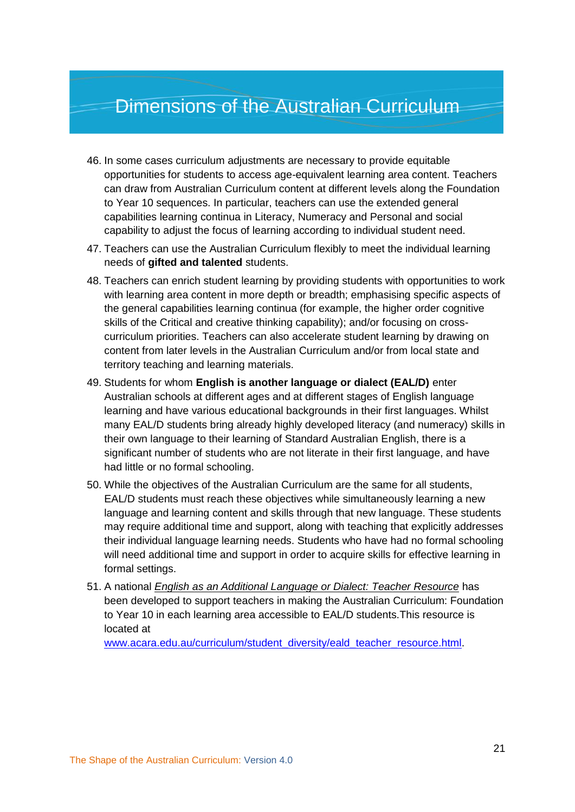- 46. In some cases curriculum adjustments are necessary to provide equitable opportunities for students to access age-equivalent learning area content. Teachers can draw from Australian Curriculum content at different levels along the Foundation to Year 10 sequences. In particular, teachers can use the extended general capabilities learning continua in Literacy, Numeracy and Personal and social capability to adjust the focus of learning according to individual student need.
- 47. Teachers can use the Australian Curriculum flexibly to meet the individual learning needs of **gifted and talented** students.
- 48. Teachers can enrich student learning by providing students with opportunities to work with learning area content in more depth or breadth; emphasising specific aspects of the general capabilities learning continua (for example, the higher order cognitive skills of the Critical and creative thinking capability); and/or focusing on crosscurriculum priorities. Teachers can also accelerate student learning by drawing on content from later levels in the Australian Curriculum and/or from local state and territory teaching and learning materials.
- 49. Students for whom **English is another language or dialect (EAL/D)** enter Australian schools at different ages and at different stages of English language learning and have various educational backgrounds in their first languages. Whilst many EAL/D students bring already highly developed literacy (and numeracy) skills in their own language to their learning of Standard Australian English, there is a significant number of students who are not literate in their first language, and have had little or no formal schooling.
- 50. While the objectives of the Australian Curriculum are the same for all students, EAL/D students must reach these objectives while simultaneously learning a new language and learning content and skills through that new language. These students may require additional time and support, along with teaching that explicitly addresses their individual language learning needs. Students who have had no formal schooling will need additional time and support in order to acquire skills for effective learning in formal settings.
- 51. A national *English as an Additional Language or Dialect: Teacher Resource* has been developed to support teachers in making the Australian Curriculum: Foundation to Year 10 in each learning area accessible to EAL/D students.This resource is located at

[www.acara.edu.au/curriculum/student\\_diversity/eald\\_teacher\\_resource.html.](http://www.acara.edu.au/curriculum/student_diversity/eald_teacher_resource.html)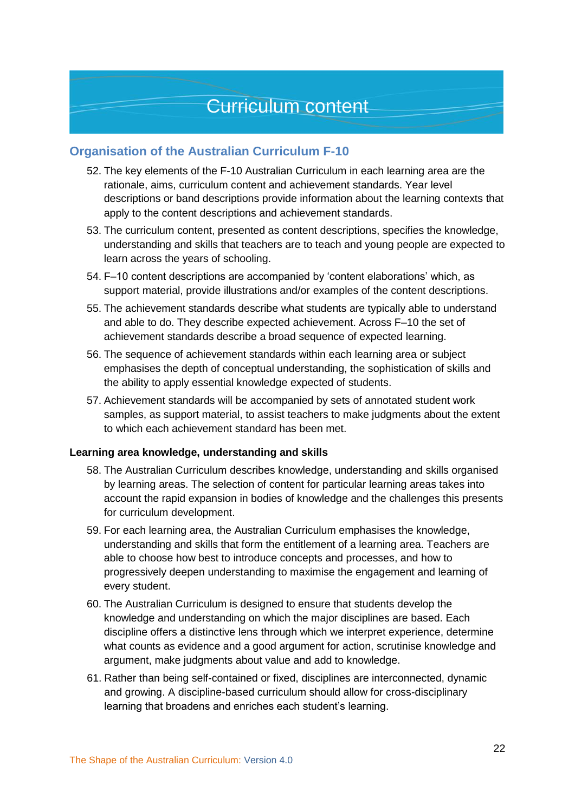#### <span id="page-23-1"></span><span id="page-23-0"></span>**Organisation of the Australian Curriculum F-10**

- 52. The key elements of the F-10 Australian Curriculum in each learning area are the rationale, aims, curriculum content and achievement standards. Year level descriptions or band descriptions provide information about the learning contexts that apply to the content descriptions and achievement standards.
- 53. The curriculum content, presented as content descriptions, specifies the knowledge, understanding and skills that teachers are to teach and young people are expected to learn across the years of schooling.
- 54. F–10 content descriptions are accompanied by 'content elaborations' which, as support material, provide illustrations and/or examples of the content descriptions.
- 55. The achievement standards describe what students are typically able to understand and able to do. They describe expected achievement. Across F–10 the set of achievement standards describe a broad sequence of expected learning.
- 56. The sequence of achievement standards within each learning area or subject emphasises the depth of conceptual understanding, the sophistication of skills and the ability to apply essential knowledge expected of students.
- 57. Achievement standards will be accompanied by sets of annotated student work samples, as support material, to assist teachers to make judgments about the extent to which each achievement standard has been met.

#### <span id="page-23-2"></span>**Learning area knowledge, understanding and skills**

- 58. The Australian Curriculum describes knowledge, understanding and skills organised by learning areas. The selection of content for particular learning areas takes into account the rapid expansion in bodies of knowledge and the challenges this presents for curriculum development.
- 59. For each learning area, the Australian Curriculum emphasises the knowledge, understanding and skills that form the entitlement of a learning area. Teachers are able to choose how best to introduce concepts and processes, and how to progressively deepen understanding to maximise the engagement and learning of every student.
- 60. The Australian Curriculum is designed to ensure that students develop the knowledge and understanding on which the major disciplines are based. Each discipline offers a distinctive lens through which we interpret experience, determine what counts as evidence and a good argument for action, scrutinise knowledge and argument, make judgments about value and add to knowledge.
- 61. Rather than being self-contained or fixed, disciplines are interconnected, dynamic and growing. A discipline-based curriculum should allow for cross-disciplinary learning that broadens and enriches each student's learning.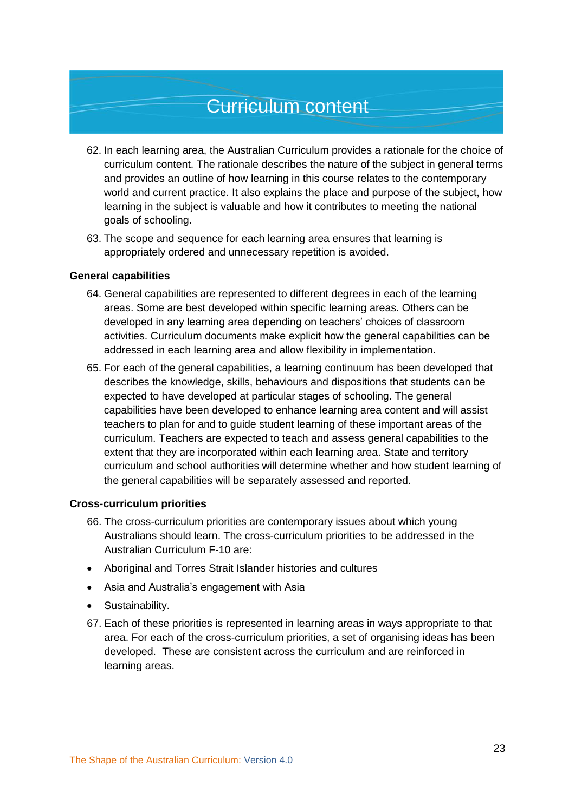- 62. In each learning area, the Australian Curriculum provides a rationale for the choice of curriculum content. The rationale describes the nature of the subject in general terms and provides an outline of how learning in this course relates to the contemporary world and current practice. It also explains the place and purpose of the subject, how learning in the subject is valuable and how it contributes to meeting the national goals of schooling.
- 63. The scope and sequence for each learning area ensures that learning is appropriately ordered and unnecessary repetition is avoided.

#### <span id="page-24-0"></span>**General capabilities**

- 64. General capabilities are represented to different degrees in each of the learning areas. Some are best developed within specific learning areas. Others can be developed in any learning area depending on teachers' choices of classroom activities. Curriculum documents make explicit how the general capabilities can be addressed in each learning area and allow flexibility in implementation.
- 65. For each of the general capabilities, a learning continuum has been developed that describes the knowledge, skills, behaviours and dispositions that students can be expected to have developed at particular stages of schooling. The general capabilities have been developed to enhance learning area content and will assist teachers to plan for and to guide student learning of these important areas of the curriculum. Teachers are expected to teach and assess general capabilities to the extent that they are incorporated within each learning area. State and territory curriculum and school authorities will determine whether and how student learning of the general capabilities will be separately assessed and reported.

#### <span id="page-24-1"></span>**Cross-curriculum priorities**

- 66. The cross-curriculum priorities are contemporary issues about which young Australians should learn. The cross-curriculum priorities to be addressed in the Australian Curriculum F-10 are:
- Aboriginal and Torres Strait Islander histories and cultures
- Asia and Australia's engagement with Asia
- Sustainability.
- 67. Each of these priorities is represented in learning areas in ways appropriate to that area. For each of the cross-curriculum priorities, a set of organising ideas has been developed. These are consistent across the curriculum and are reinforced in learning areas.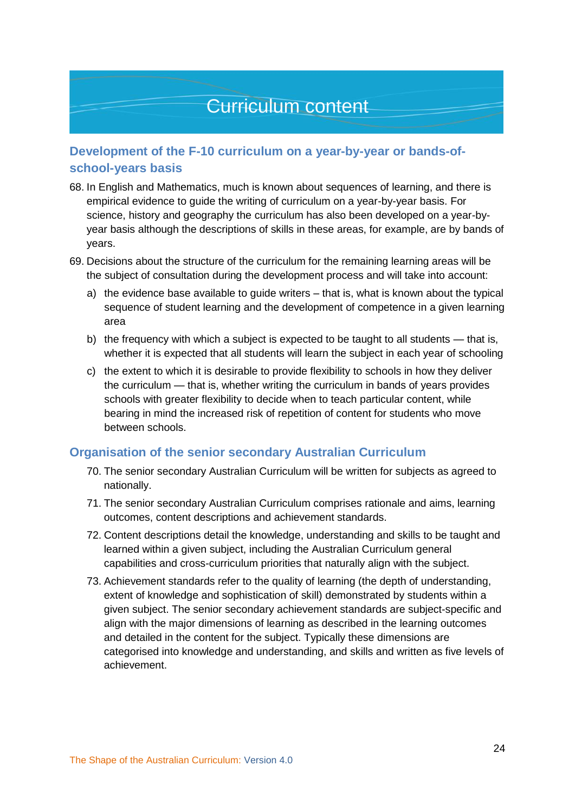#### <span id="page-25-0"></span>**Development of the F-10 curriculum on a year-by-year or bands-ofschool-years basis**

- 68. In English and Mathematics, much is known about sequences of learning, and there is empirical evidence to guide the writing of curriculum on a year-by-year basis. For science, history and geography the curriculum has also been developed on a year-byyear basis although the descriptions of skills in these areas, for example, are by bands of years.
- 69. Decisions about the structure of the curriculum for the remaining learning areas will be the subject of consultation during the development process and will take into account:
	- a) the evidence base available to guide writers that is, what is known about the typical sequence of student learning and the development of competence in a given learning area
	- b) the frequency with which a subject is expected to be taught to all students that is, whether it is expected that all students will learn the subject in each year of schooling
	- c) the extent to which it is desirable to provide flexibility to schools in how they deliver the curriculum — that is, whether writing the curriculum in bands of years provides schools with greater flexibility to decide when to teach particular content, while bearing in mind the increased risk of repetition of content for students who move between schools.

#### <span id="page-25-1"></span>**Organisation of the senior secondary Australian Curriculum**

- 70. The senior secondary Australian Curriculum will be written for subjects as agreed to nationally.
- 71. The senior secondary Australian Curriculum comprises rationale and aims, learning outcomes, content descriptions and achievement standards.
- 72. Content descriptions detail the knowledge, understanding and skills to be taught and learned within a given subject, including the Australian Curriculum general capabilities and cross-curriculum priorities that naturally align with the subject.
- 73. Achievement standards refer to the quality of learning (the depth of understanding, extent of knowledge and sophistication of skill) demonstrated by students within a given subject. The senior secondary achievement standards are subject-specific and align with the major dimensions of learning as described in the learning outcomes and detailed in the content for the subject. Typically these dimensions are categorised into knowledge and understanding, and skills and written as five levels of achievement.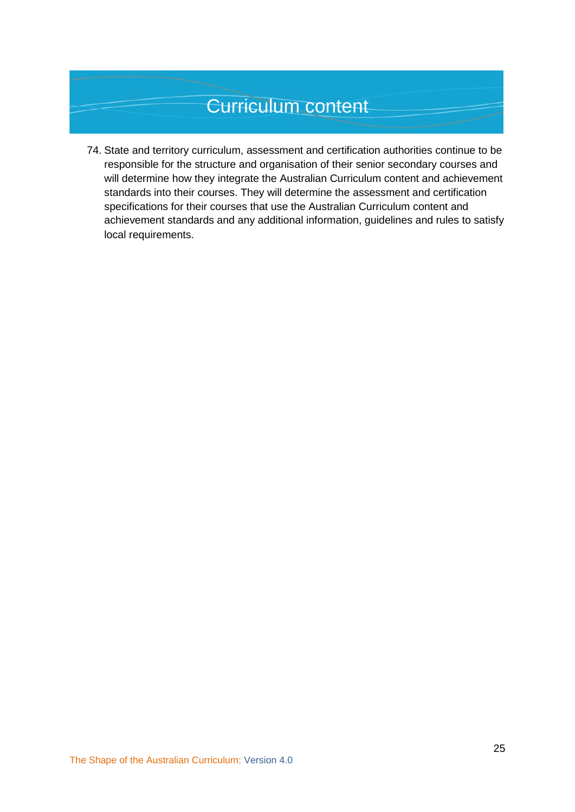74. State and territory curriculum, assessment and certification authorities continue to be responsible for the structure and organisation of their senior secondary courses and will determine how they integrate the Australian Curriculum content and achievement standards into their courses. They will determine the assessment and certification specifications for their courses that use the Australian Curriculum content and achievement standards and any additional information, guidelines and rules to satisfy local requirements.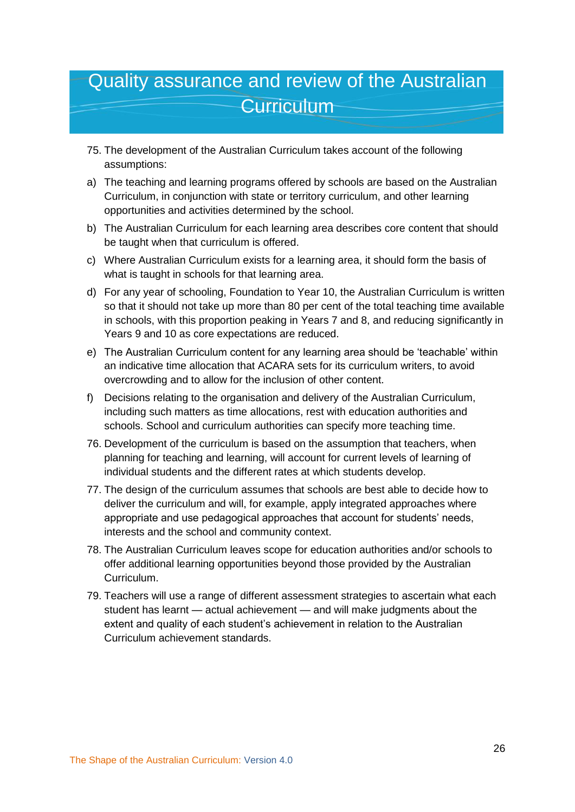### <span id="page-27-0"></span>Quality assurance and review of the Australian **Curriculum**

- 75. The development of the Australian Curriculum takes account of the following assumptions:
- a) The teaching and learning programs offered by schools are based on the Australian Curriculum, in conjunction with state or territory curriculum, and other learning opportunities and activities determined by the school.
- b) The Australian Curriculum for each learning area describes core content that should be taught when that curriculum is offered.
- c) Where Australian Curriculum exists for a learning area, it should form the basis of what is taught in schools for that learning area.
- d) For any year of schooling, Foundation to Year 10, the Australian Curriculum is written so that it should not take up more than 80 per cent of the total teaching time available in schools, with this proportion peaking in Years 7 and 8, and reducing significantly in Years 9 and 10 as core expectations are reduced.
- e) The Australian Curriculum content for any learning area should be 'teachable' within an indicative time allocation that ACARA sets for its curriculum writers, to avoid overcrowding and to allow for the inclusion of other content.
- f) Decisions relating to the organisation and delivery of the Australian Curriculum, including such matters as time allocations, rest with education authorities and schools. School and curriculum authorities can specify more teaching time.
- 76. Development of the curriculum is based on the assumption that teachers, when planning for teaching and learning, will account for current levels of learning of individual students and the different rates at which students develop.
- 77. The design of the curriculum assumes that schools are best able to decide how to deliver the curriculum and will, for example, apply integrated approaches where appropriate and use pedagogical approaches that account for students' needs, interests and the school and community context.
- 78. The Australian Curriculum leaves scope for education authorities and/or schools to offer additional learning opportunities beyond those provided by the Australian Curriculum.
- 79. Teachers will use a range of different assessment strategies to ascertain what each student has learnt — actual achievement — and will make judgments about the extent and quality of each student's achievement in relation to the Australian Curriculum achievement standards.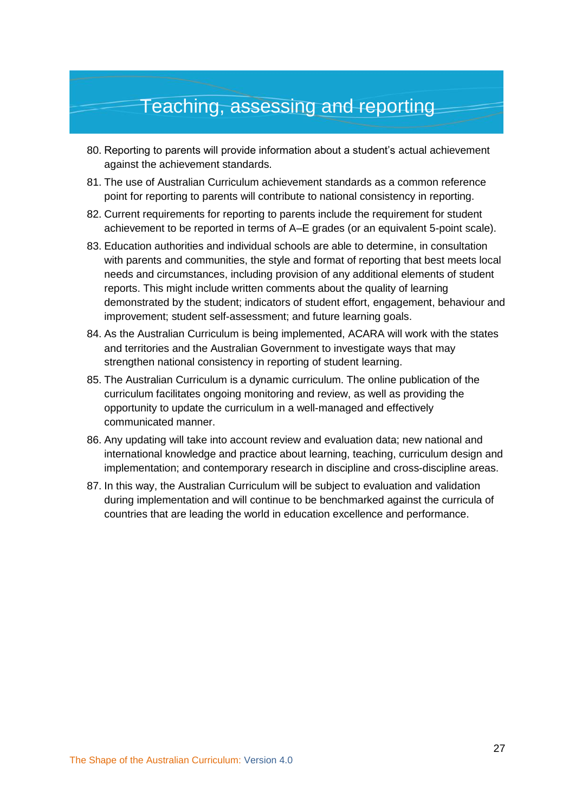### Teaching, assessing and reporting

- <span id="page-28-0"></span>80. Reporting to parents will provide information about a student's actual achievement against the achievement standards.
- 81. The use of Australian Curriculum achievement standards as a common reference point for reporting to parents will contribute to national consistency in reporting.
- 82. Current requirements for reporting to parents include the requirement for student achievement to be reported in terms of A–E grades (or an equivalent 5-point scale).
- 83. Education authorities and individual schools are able to determine, in consultation with parents and communities, the style and format of reporting that best meets local needs and circumstances, including provision of any additional elements of student reports. This might include written comments about the quality of learning demonstrated by the student; indicators of student effort, engagement, behaviour and improvement; student self-assessment; and future learning goals.
- 84. As the Australian Curriculum is being implemented, ACARA will work with the states and territories and the Australian Government to investigate ways that may strengthen national consistency in reporting of student learning.
- 85. The Australian Curriculum is a dynamic curriculum. The online publication of the curriculum facilitates ongoing monitoring and review, as well as providing the opportunity to update the curriculum in a well-managed and effectively communicated manner.
- 86. Any updating will take into account review and evaluation data; new national and international knowledge and practice about learning, teaching, curriculum design and implementation; and contemporary research in discipline and cross-discipline areas.
- 87. In this way, the Australian Curriculum will be subject to evaluation and validation during implementation and will continue to be benchmarked against the curricula of countries that are leading the world in education excellence and performance.